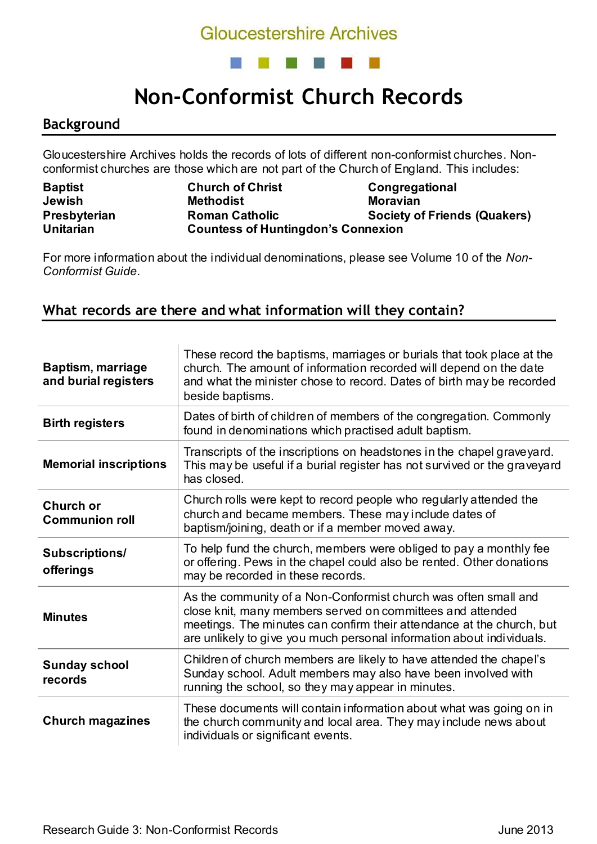## **Gloucestershire Archives**



# **Non-Conformist Church Records**

#### **Background**

Gloucestershire Archives holds the records of lots of different non-conformist churches. Nonconformist churches are those which are not part of the Church of England. This includes:

| <b>Baptist</b>   | <b>Church of Christ</b>                   | Congregational                      |
|------------------|-------------------------------------------|-------------------------------------|
| Jewish           | <b>Methodist</b>                          | <b>Moravian</b>                     |
| Presbyterian     | <b>Roman Catholic</b>                     | <b>Society of Friends (Quakers)</b> |
| <b>Unitarian</b> | <b>Countess of Huntingdon's Connexion</b> |                                     |

For more information about the individual denominations, please see Volume 10 of the *Non-Conformist Guide*.

#### **What records are there and what information will they contain?**

| <b>Baptism, marriage</b><br>and burial registers | These record the baptisms, marriages or burials that took place at the<br>church. The amount of information recorded will depend on the date<br>and what the minister chose to record. Dates of birth may be recorded<br>beside baptisms.                                       |  |
|--------------------------------------------------|---------------------------------------------------------------------------------------------------------------------------------------------------------------------------------------------------------------------------------------------------------------------------------|--|
| <b>Birth registers</b>                           | Dates of birth of children of members of the congregation. Commonly<br>found in denominations which practised adult baptism.                                                                                                                                                    |  |
| <b>Memorial inscriptions</b>                     | Transcripts of the inscriptions on headstones in the chapel graveyard.<br>This may be useful if a burial register has not survived or the graveyard<br>has closed.                                                                                                              |  |
| Church or<br><b>Communion roll</b>               | Church rolls were kept to record people who regularly attended the<br>church and became members. These may include dates of<br>baptism/joining, death or if a member moved away.                                                                                                |  |
| <b>Subscriptions/</b><br>offerings               | To help fund the church, members were obliged to pay a monthly fee<br>or offering. Pews in the chapel could also be rented. Other donations<br>may be recorded in these records.                                                                                                |  |
| <b>Minutes</b>                                   | As the community of a Non-Conformist church was often small and<br>close knit, many members served on committees and attended<br>meetings. The minutes can confirm their attendance at the church, but<br>are unlikely to give you much personal information about individuals. |  |
| <b>Sunday school</b><br>records                  | Children of church members are likely to have attended the chapel's<br>Sunday school. Adult members may also have been involved with<br>running the school, so they may appear in minutes.                                                                                      |  |
| <b>Church magazines</b>                          | These documents will contain information about what was going on in<br>the church community and local area. They may include news about<br>individuals or significant events.                                                                                                   |  |